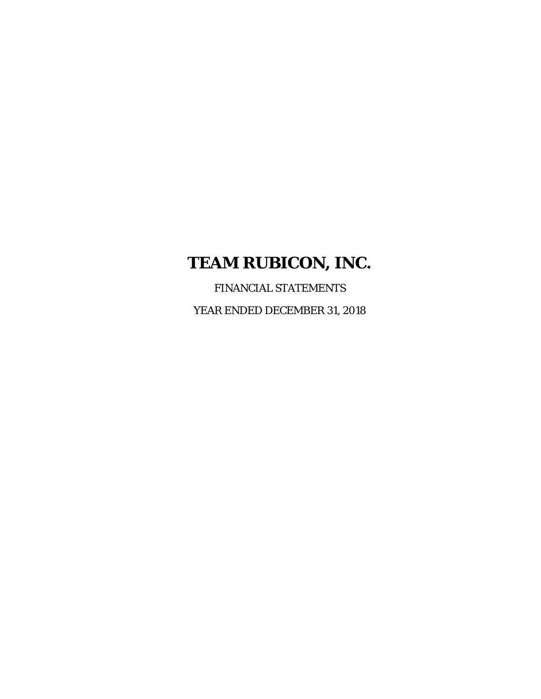FINANCIAL STATEMENTS YEAR ENDED DECEMBER 31, 2018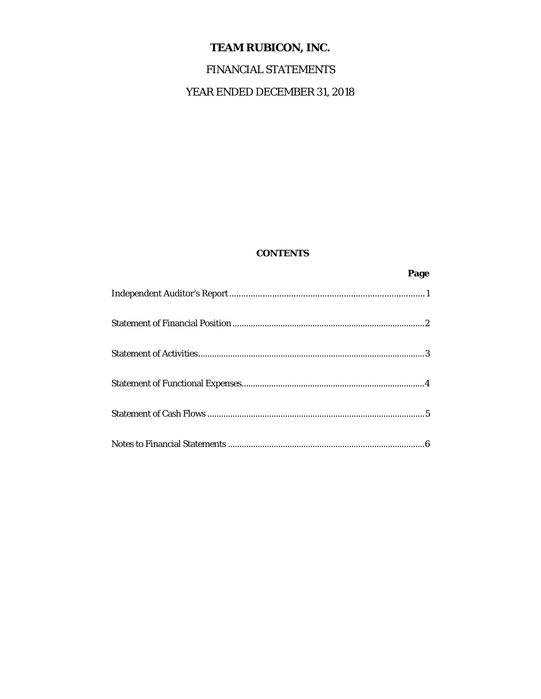# FINANCIAL STATEMENTS

# YEAR ENDED DECEMBER 31, 2018

### **CONTENTS**

| Page |
|------|
|      |
|      |
|      |
|      |
|      |
|      |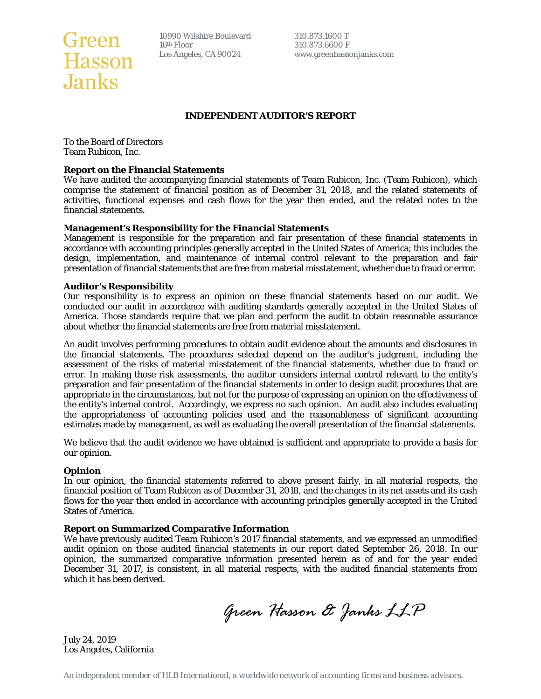

10990 Wilshire Boulevard 310.873.1600 T<br>16<sup>th</sup> Floor 310.873.6600 F **16th Floor** 310.873.6600 F

Los Angeles, CA 90024 www.greenhassonjanks.com

### **INDEPENDENT AUDITOR'S REPORT**

To the Board of Directors Team Rubicon, Inc.

#### **Report on the Financial Statements**

We have audited the accompanying financial statements of Team Rubicon, Inc. (Team Rubicon), which comprise the statement of financial position as of December 31, 2018, and the related statements of activities, functional expenses and cash flows for the year then ended, and the related notes to the financial statements.

#### **Management's Responsibility for the Financial Statements**

Management is responsible for the preparation and fair presentation of these financial statements in accordance with accounting principles generally accepted in the United States of America; this includes the design, implementation, and maintenance of internal control relevant to the preparation and fair presentation of financial statements that are free from material misstatement, whether due to fraud or error.

#### **Auditor's Responsibility**

Our responsibility is to express an opinion on these financial statements based on our audit. We conducted our audit in accordance with auditing standards generally accepted in the United States of America. Those standards require that we plan and perform the audit to obtain reasonable assurance about whether the financial statements are free from material misstatement.

An audit involves performing procedures to obtain audit evidence about the amounts and disclosures in the financial statements. The procedures selected depend on the auditor's judgment, including the assessment of the risks of material misstatement of the financial statements, whether due to fraud or error. In making those risk assessments, the auditor considers internal control relevant to the entity's preparation and fair presentation of the financial statements in order to design audit procedures that are appropriate in the circumstances, but not for the purpose of expressing an opinion on the effectiveness of the entity's internal control. Accordingly, we express no such opinion. An audit also includes evaluating the appropriateness of accounting policies used and the reasonableness of significant accounting estimates made by management, as well as evaluating the overall presentation of the financial statements.

We believe that the audit evidence we have obtained is sufficient and appropriate to provide a basis for our opinion.

#### **Opinion**

In our opinion, the financial statements referred to above present fairly, in all material respects, the financial position of Team Rubicon as of December 31, 2018, and the changes in its net assets and its cash flows for the year then ended in accordance with accounting principles generally accepted in the United States of America.

#### **Report on Summarized Comparative Information**

We have previously audited Team Rubicon's 2017 financial statements, and we expressed an unmodified audit opinion on those audited financial statements in our report dated September 26, 2018. In our opinion, the summarized comparative information presented herein as of and for the year ended December 31, 2017, is consistent, in all material respects, with the audited financial statements from which it has been derived.

*Green Hasson & Janks LLP* 

July 24, 2019 Los Angeles, California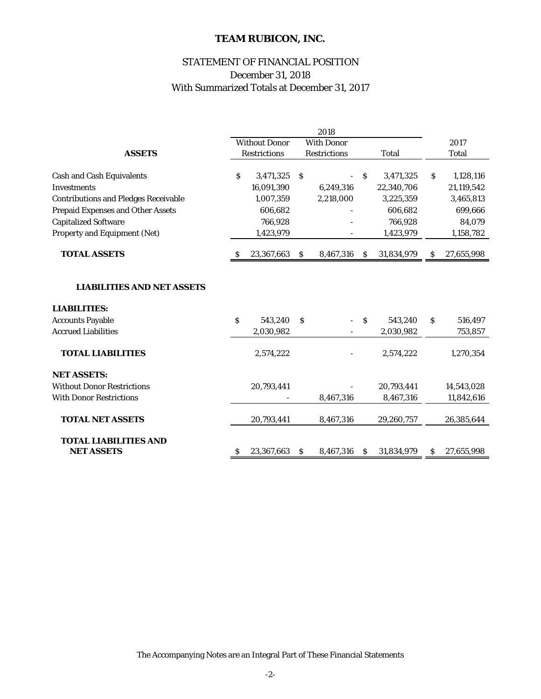### STATEMENT OF FINANCIAL POSITION December 31, 2018 With Summarized Totals at December 31, 2017

|                                             | 2018 |                      |              |                          |              |              |    |              |
|---------------------------------------------|------|----------------------|--------------|--------------------------|--------------|--------------|----|--------------|
|                                             |      | <b>Without Donor</b> |              | <b>With Donor</b>        |              |              |    | 2017         |
| <b>ASSETS</b>                               |      | <b>Restrictions</b>  |              | <b>Restrictions</b>      |              | <b>Total</b> |    | <b>Total</b> |
|                                             |      |                      |              |                          |              |              |    |              |
| <b>Cash and Cash Equivalents</b>            | S    | 3,471,325            | S            |                          | S.           | 3,471,325    | S  | 1,128,116    |
| <b>Investments</b>                          |      | 16,091,390           |              | 6,249,316                |              | 22,340,706   |    | 21,119,542   |
| <b>Contributions and Pledges Receivable</b> |      | 1,007,359            |              | 2,218,000                |              | 3,225,359    |    | 3,465,813    |
| <b>Prepaid Expenses and Other Assets</b>    |      | 606,682              |              |                          |              | 606,682      |    | 699,666      |
| <b>Capitalized Software</b>                 |      | 766,928              |              |                          |              | 766,928      |    | 84,079       |
| Property and Equipment (Net)                |      | 1,423,979            |              |                          |              | 1,423,979    |    | 1,158,782    |
| <b>TOTAL ASSETS</b>                         | S    | 23,367,663           | \$.          | 8,467,316                | <sup>S</sup> | 31,834,979   | S  | 27,655,998   |
|                                             |      |                      |              |                          |              |              |    |              |
| <b>LIABILITIES AND NET ASSETS</b>           |      |                      |              |                          |              |              |    |              |
| <b>LIABILITIES:</b>                         |      |                      |              |                          |              |              |    |              |
| <b>Accounts Payable</b>                     | S.   | 543,240              | <sub>S</sub> | $\overline{\phantom{0}}$ | <sub>S</sub> | 543,240      | \$ | 516,497      |
| <b>Accrued Liabilities</b>                  |      | 2,030,982            |              |                          |              | 2,030,982    |    | 753,857      |
| <b>TOTAL LIABILITIES</b>                    |      | 2,574,222            |              |                          |              | 2,574,222    |    | 1,270,354    |
| <b>NET ASSETS:</b>                          |      |                      |              |                          |              |              |    |              |
| <b>Without Donor Restrictions</b>           |      | 20,793,441           |              |                          |              | 20,793,441   |    | 14,543,028   |
| <b>With Donor Restrictions</b>              |      |                      |              | 8,467,316                |              | 8,467,316    |    | 11,842,616   |
| <b>TOTAL NET ASSETS</b>                     |      | 20,793,441           |              | 8,467,316                |              | 29,260,757   |    | 26,385,644   |
| <b>TOTAL LIABILITIES AND</b>                |      |                      |              |                          |              |              |    |              |
| <b>NET ASSETS</b>                           | S    | 23,367,663           | <sub>S</sub> | 8,467,316                | S            | 31,834,979   | s  | 27,655,998   |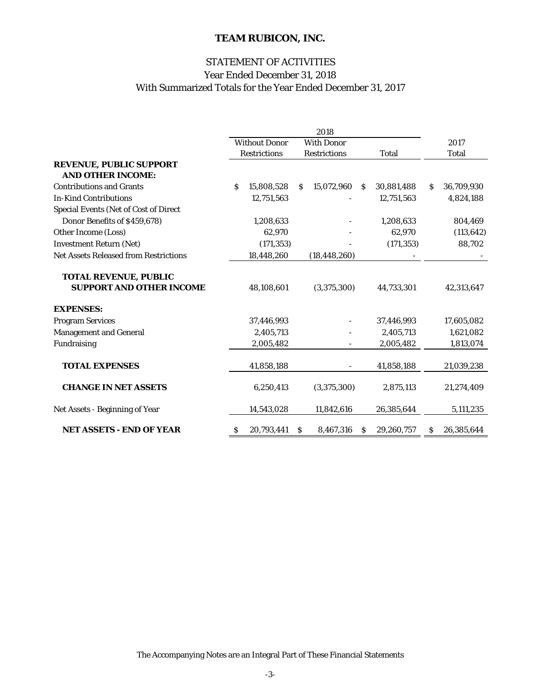### STATEMENT OF ACTIVITIES With Summarized Totals for the Year Ended December 31, 2017 Year Ended December 31, 2018

|                                                                 | 2018                 |                     |    |                     |              |            |    |             |
|-----------------------------------------------------------------|----------------------|---------------------|----|---------------------|--------------|------------|----|-------------|
|                                                                 | <b>Without Donor</b> |                     |    | <b>With Donor</b>   |              |            |    | 2017        |
|                                                                 |                      | <b>Restrictions</b> |    | <b>Restrictions</b> |              | Total      |    | Total       |
| <b>REVENUE, PUBLIC SUPPORT</b><br><b>AND OTHER INCOME:</b>      |                      |                     |    |                     |              |            |    |             |
| <b>Contributions and Grants</b>                                 | Š.                   | 15,808,528          | S. | 15,072,960          | S            | 30,881,488 | S. | 36,709,930  |
| <b>In-Kind Contributions</b>                                    |                      | 12,751,563          |    |                     |              | 12,751,563 |    | 4,824,188   |
| <b>Special Events (Net of Cost of Direct</b>                    |                      |                     |    |                     |              |            |    |             |
| Donor Benefits of \$459,678)                                    |                      | 1,208,633           |    |                     |              | 1,208,633  |    | 804,469     |
| Other Income (Loss)                                             |                      | 62,970              |    |                     |              | 62,970     |    | (113, 642)  |
| <b>Investment Return (Net)</b>                                  |                      | (171, 353)          |    |                     |              | (171, 353) |    | 88,702      |
| <b>Net Assets Released from Restrictions</b>                    |                      | 18,448,260          |    | (18, 448, 260)      |              |            |    |             |
| <b>TOTAL REVENUE, PUBLIC</b><br><b>SUPPORT AND OTHER INCOME</b> |                      | 48,108,601          |    | (3,375,300)         |              | 44,733,301 |    | 42,313,647  |
| <b>EXPENSES:</b>                                                |                      |                     |    |                     |              |            |    |             |
| <b>Program Services</b>                                         |                      | 37,446,993          |    |                     |              | 37,446,993 |    | 17,605,082  |
| <b>Management and General</b>                                   |                      | 2,405,713           |    |                     |              | 2,405,713  |    | 1,621,082   |
| Fundraising                                                     |                      | 2,005,482           |    |                     |              | 2,005,482  |    | 1,813,074   |
| <b>TOTAL EXPENSES</b>                                           |                      | 41,858,188          |    |                     |              | 41,858,188 |    | 21,039,238  |
| <b>CHANGE IN NET ASSETS</b>                                     |                      | 6,250,413           |    | (3,375,300)         |              | 2,875,113  |    | 21,274,409  |
| Net Assets - Beginning of Year                                  |                      | 14,543,028          |    | 11,842,616          |              | 26,385,644 |    | 5, 111, 235 |
| <b>NET ASSETS - END OF YEAR</b>                                 | s                    | 20,793,441          | S  | 8,467,316           | <sub>S</sub> | 29,260,757 | S. | 26,385,644  |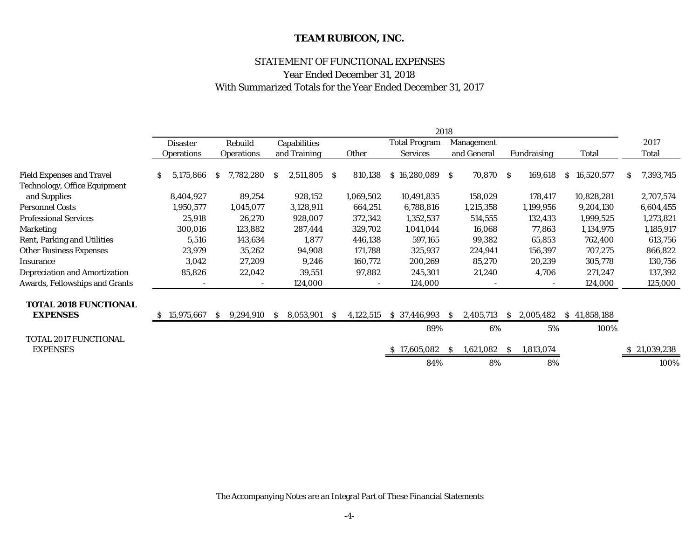### STATEMENT OF FUNCTIONAL EXPENSES

### Year Ended December 31, 2018 With Summarized Totals for the Year Ended December 31, 2017

|                                      | 2018 |                   |              |                   |    |              |     |           |                      |              |                   |              |                    |    |              |    |              |
|--------------------------------------|------|-------------------|--------------|-------------------|----|--------------|-----|-----------|----------------------|--------------|-------------------|--------------|--------------------|----|--------------|----|--------------|
|                                      |      | <b>Disaster</b>   |              | Rebuild           |    | Capabilities |     |           | <b>Total Program</b> |              | <b>Management</b> |              |                    |    |              |    | 2017         |
|                                      |      | <b>Operations</b> |              | <b>Operations</b> |    | and Training |     | Other     | <b>Services</b>      |              | and General       |              | <b>Fundraising</b> |    | Total        |    | Total        |
|                                      |      |                   |              |                   |    |              |     |           |                      |              |                   |              |                    |    |              |    |              |
| <b>Field Expenses and Travel</b>     | S    | 5,175,866         | S            | 7,782,280         | S. | 2,511,805    | -S  | 810,138   | \$16,280,089         | S.           | 70,870            | -S           | 169,618            | S. | 16,520,577   | S. | 7,393,745    |
| <b>Technology, Office Equipment</b>  |      |                   |              |                   |    |              |     |           |                      |              |                   |              |                    |    |              |    |              |
| and Supplies                         |      | 8,404,927         |              | 89,254            |    | 928,152      |     | 1,069,502 | 10,491,835           |              | 158,029           |              | 178,417            |    | 10,828,281   |    | 2,707,574    |
| <b>Personnel Costs</b>               |      | 1,950,577         |              | 1,045,077         |    | 3,128,911    |     | 664,251   | 6,788,816            |              | 1,215,358         |              | 1,199,956          |    | 9,204,130    |    | 6,604,455    |
| <b>Professional Services</b>         |      | 25,918            |              | 26,270            |    | 928,007      |     | 372,342   | 1,352,537            |              | 514,555           |              | 132,433            |    | 1,999,525    |    | 1,273,821    |
| <b>Marketing</b>                     |      | 300,016           |              | 123,882           |    | 287,444      |     | 329,702   | 1,041,044            |              | 16,068            |              | 77,863             |    | 1,134,975    |    | 1,185,917    |
| Rent, Parking and Utilities          |      | 5,516             |              | 143,634           |    | 1,877        |     | 446,138   | 597,165              |              | 99,382            |              | 65,853             |    | 762,400      |    | 613,756      |
| <b>Other Business Expenses</b>       |      | 23,979            |              | 35,262            |    | 94,908       |     | 171,788   | 325,937              |              | 224,941           |              | 156,397            |    | 707,275      |    | 866,822      |
| Insurance                            |      | 3,042             |              | 27,209            |    | 9,246        |     | 160,772   | 200,269              |              | 85,270            |              | 20,239             |    | 305,778      |    | 130,756      |
| <b>Depreciation and Amortization</b> |      | 85,826            |              | 22,042            |    | 39,551       |     | 97,882    | 245,301              |              | 21,240            |              | 4,706              |    | 271,247      |    | 137,392      |
| Awards, Fellowships and Grants       |      |                   |              |                   |    | 124,000      |     |           | 124,000              |              |                   |              |                    |    | 124,000      |    | 125,000      |
| <b>TOTAL 2018 FUNCTIONAL</b>         |      |                   |              |                   |    |              |     |           |                      |              |                   |              |                    |    |              |    |              |
| <b>EXPENSES</b>                      | S    | 15,975,667        | <sub>S</sub> | 9,294,910         | S. | 8,053,901    | - S | 4,122,515 | \$37,446,993         | <sub>S</sub> | 2,405,713         | <sub>S</sub> | 2,005,482          |    | \$41,858,188 |    |              |
|                                      |      |                   |              |                   |    |              |     |           | 89%                  |              | 6%                |              | 5%                 |    | 100%         |    |              |
| TOTAL 2017 FUNCTIONAL                |      |                   |              |                   |    |              |     |           |                      |              |                   |              |                    |    |              |    |              |
| <b>EXPENSES</b>                      |      |                   |              |                   |    |              |     |           | \$17,605,082         | S.           | 1,621,082         | <sub>S</sub> | 1,813,074          |    |              |    | \$21,039,238 |
|                                      |      |                   |              |                   |    |              |     |           | 84%                  |              | 8%                |              | 8%                 |    |              |    | 100%         |

The Accompanying Notes are an Integral Part of These Financial Statements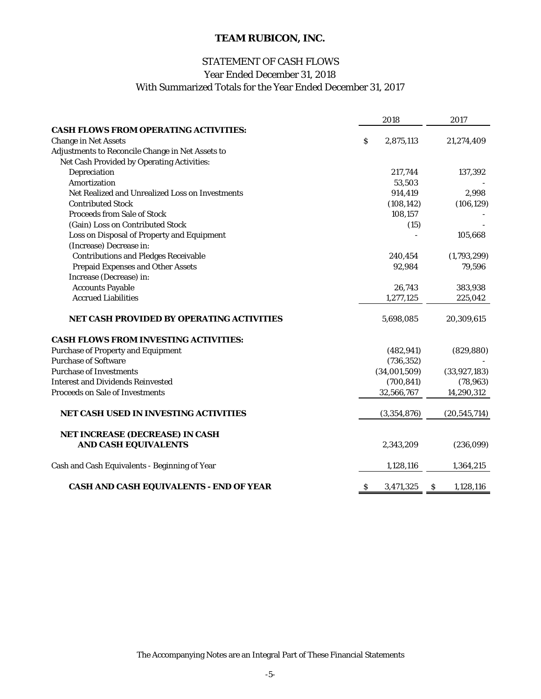### STATEMENT OF CASH FLOWS

Year Ended December 31, 2018

With Summarized Totals for the Year Ended December 31, 2017

|                                                  |              | 2018         |              | 2017           |
|--------------------------------------------------|--------------|--------------|--------------|----------------|
| <b>CASH FLOWS FROM OPERATING ACTIVITIES:</b>     |              |              |              |                |
| <b>Change in Net Assets</b>                      | \$           | 2,875,113    |              | 21,274,409     |
| Adjustments to Reconcile Change in Net Assets to |              |              |              |                |
| Net Cash Provided by Operating Activities:       |              |              |              |                |
| Depreciation                                     |              | 217,744      |              | 137,392        |
| Amortization                                     |              | 53,503       |              |                |
| Net Realized and Unrealized Loss on Investments  |              | 914,419      |              | 2,998          |
| <b>Contributed Stock</b>                         |              | (108, 142)   |              | (106, 129)     |
| <b>Proceeds from Sale of Stock</b>               |              | 108,157      |              |                |
| (Gain) Loss on Contributed Stock                 |              | (15)         |              |                |
| Loss on Disposal of Property and Equipment       |              |              |              | 105,668        |
| (Increase) Decrease in:                          |              |              |              |                |
| <b>Contributions and Pledges Receivable</b>      |              | 240,454      |              | (1,793,299)    |
| <b>Prepaid Expenses and Other Assets</b>         |              | 92,984       |              | 79,596         |
| Increase (Decrease) in:                          |              |              |              |                |
| <b>Accounts Payable</b>                          |              | 26,743       |              | 383,938        |
| <b>Accrued Liabilities</b>                       |              | 1,277,125    |              | 225,042        |
| <b>NET CASH PROVIDED BY OPERATING ACTIVITIES</b> |              | 5,698,085    |              | 20,309,615     |
| <b>CASH FLOWS FROM INVESTING ACTIVITIES:</b>     |              |              |              |                |
| <b>Purchase of Property and Equipment</b>        |              | (482, 941)   |              | (829, 880)     |
| <b>Purchase of Software</b>                      |              | (736, 352)   |              |                |
| <b>Purchase of Investments</b>                   |              | (34,001,509) |              | (33, 927, 183) |
| <b>Interest and Dividends Reinvested</b>         |              | (700, 841)   |              | (78, 963)      |
| <b>Proceeds on Sale of Investments</b>           |              | 32,566,767   |              | 14,290,312     |
| <b>NET CASH USED IN INVESTING ACTIVITIES</b>     |              | (3,354,876)  |              | (20, 545, 714) |
| NET INCREASE (DECREASE) IN CASH                  |              |              |              |                |
| <b>AND CASH EQUIVALENTS</b>                      |              | 2,343,209    |              | (236,099)      |
| Cash and Cash Equivalents - Beginning of Year    |              | 1,128,116    |              | 1,364,215      |
| CASH AND CASH EQUIVALENTS - END OF YEAR          | <sub>S</sub> | 3,471,325    | <sub>S</sub> | 1,128,116      |

The Accompanying Notes are an Integral Part of These Financial Statements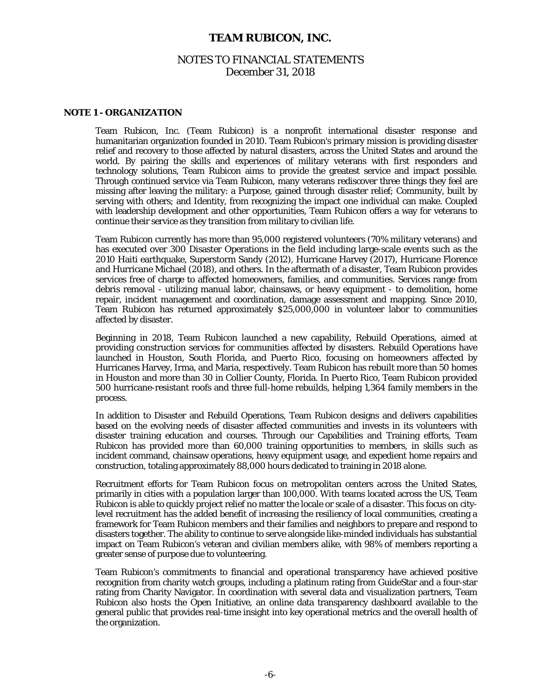### NOTES TO FINANCIAL STATEMENTS December 31, 2018

#### **NOTE 1 - ORGANIZATION**

Team Rubicon, Inc. (Team Rubicon) is a nonprofit international disaster response and humanitarian organization founded in 2010. Team Rubicon's primary mission is providing disaster relief and recovery to those affected by natural disasters, across the United States and around the world. By pairing the skills and experiences of military veterans with first responders and technology solutions, Team Rubicon aims to provide the greatest service and impact possible. Through continued service via Team Rubicon, many veterans rediscover three things they feel are missing after leaving the military: a Purpose, gained through disaster relief; Community, built by serving with others; and Identity, from recognizing the impact one individual can make. Coupled with leadership development and other opportunities, Team Rubicon offers a way for veterans to continue their service as they transition from military to civilian life.

Team Rubicon currently has more than 95,000 registered volunteers (70% military veterans) and has executed over 300 Disaster Operations in the field including large-scale events such as the 2010 Haiti earthquake, Superstorm Sandy (2012), Hurricane Harvey (2017), Hurricane Florence and Hurricane Michael (2018), and others. In the aftermath of a disaster, Team Rubicon provides services free of charge to affected homeowners, families, and communities. Services range from debris removal - utilizing manual labor, chainsaws, or heavy equipment - to demolition, home repair, incident management and coordination, damage assessment and mapping. Since 2010, Team Rubicon has returned approximately \$25,000,000 in volunteer labor to communities affected by disaster.

Beginning in 2018, Team Rubicon launched a new capability, Rebuild Operations, aimed at providing construction services for communities affected by disasters. Rebuild Operations have launched in Houston, South Florida, and Puerto Rico, focusing on homeowners affected by Hurricanes Harvey, Irma, and Maria, respectively. Team Rubicon has rebuilt more than 50 homes in Houston and more than 30 in Collier County, Florida. In Puerto Rico, Team Rubicon provided 500 hurricane-resistant roofs and three full-home rebuilds, helping 1,364 family members in the process.

In addition to Disaster and Rebuild Operations, Team Rubicon designs and delivers capabilities based on the evolving needs of disaster affected communities and invests in its volunteers with disaster training education and courses. Through our Capabilities and Training efforts, Team Rubicon has provided more than 60,000 training opportunities to members, in skills such as incident command, chainsaw operations, heavy equipment usage, and expedient home repairs and construction, totaling approximately 88,000 hours dedicated to training in 2018 alone.

Recruitment efforts for Team Rubicon focus on metropolitan centers across the United States, primarily in cities with a population larger than 100,000. With teams located across the US, Team Rubicon is able to quickly project relief no matter the locale or scale of a disaster. This focus on citylevel recruitment has the added benefit of increasing the resiliency of local communities, creating a framework for Team Rubicon members and their families and neighbors to prepare and respond to disasters together. The ability to continue to serve alongside like-minded individuals has substantial impact on Team Rubicon's veteran and civilian members alike, with 98% of members reporting a greater sense of purpose due to volunteering.

Team Rubicon's commitments to financial and operational transparency have achieved positive recognition from charity watch groups, including a platinum rating from GuideStar and a four-star rating from Charity Navigator. In coordination with several data and visualization partners, Team Rubicon also hosts the Open Initiative, an online data transparency dashboard available to the general public that provides real-time insight into key operational metrics and the overall health of the organization.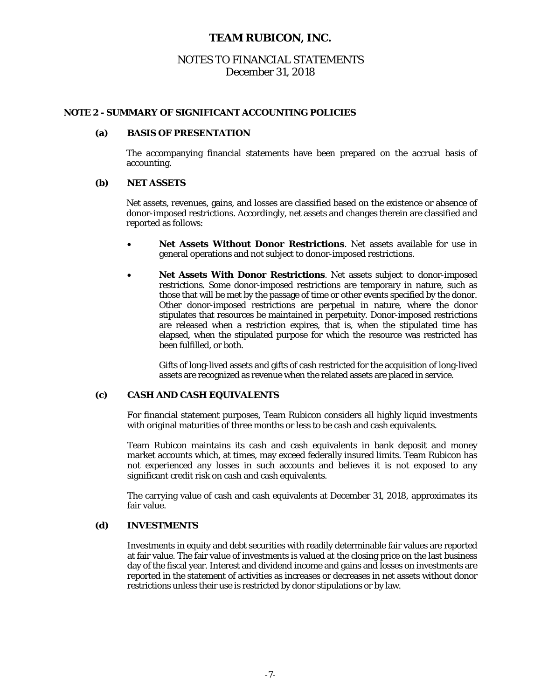### NOTES TO FINANCIAL STATEMENTS December 31, 2018

#### **NOTE 2 - SUMMARY OF SIGNIFICANT ACCOUNTING POLICIES**

#### **(a) BASIS OF PRESENTATION**

 The accompanying financial statements have been prepared on the accrual basis of accounting.

#### **(b) NET ASSETS**

 Net assets, revenues, gains, and losses are classified based on the existence or absence of donor-imposed restrictions. Accordingly, net assets and changes therein are classified and reported as follows:

- **Net Assets Without Donor Restrictions**. Net assets available for use in general operations and not subject to donor-imposed restrictions.
- **Net Assets With Donor Restrictions**. Net assets subject to donor-imposed restrictions. Some donor-imposed restrictions are temporary in nature, such as those that will be met by the passage of time or other events specified by the donor. Other donor-imposed restrictions are perpetual in nature, where the donor stipulates that resources be maintained in perpetuity. Donor-imposed restrictions are released when a restriction expires, that is, when the stipulated time has elapsed, when the stipulated purpose for which the resource was restricted has been fulfilled, or both.

Gifts of long-lived assets and gifts of cash restricted for the acquisition of long-lived assets are recognized as revenue when the related assets are placed in service.

#### **(c) CASH AND CASH EQUIVALENTS**

For financial statement purposes, Team Rubicon considers all highly liquid investments with original maturities of three months or less to be cash and cash equivalents.

Team Rubicon maintains its cash and cash equivalents in bank deposit and money market accounts which, at times, may exceed federally insured limits. Team Rubicon has not experienced any losses in such accounts and believes it is not exposed to any significant credit risk on cash and cash equivalents.

The carrying value of cash and cash equivalents at December 31, 2018, approximates its fair value.

#### **(d) INVESTMENTS**

Investments in equity and debt securities with readily determinable fair values are reported at fair value. The fair value of investments is valued at the closing price on the last business day of the fiscal year. Interest and dividend income and gains and losses on investments are reported in the statement of activities as increases or decreases in net assets without donor restrictions unless their use is restricted by donor stipulations or by law.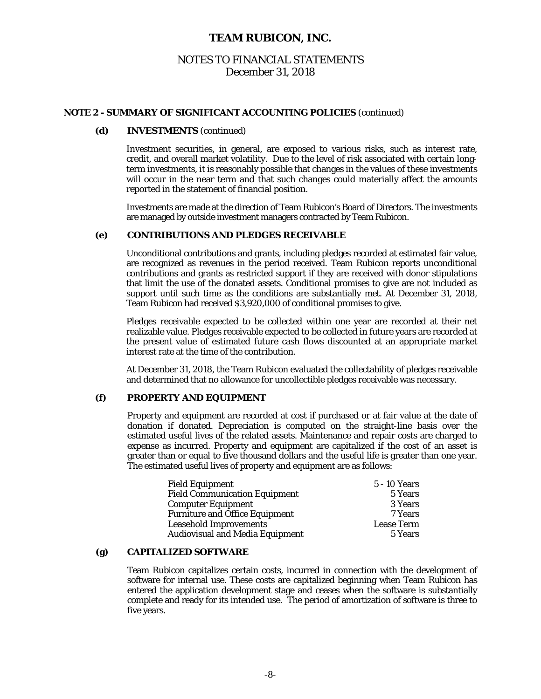### NOTES TO FINANCIAL STATEMENTS December 31, 2018

#### **NOTE 2 - SUMMARY OF SIGNIFICANT ACCOUNTING POLICIES** (continued)

#### **(d) INVESTMENTS** (continued)

Investment securities, in general, are exposed to various risks, such as interest rate, credit, and overall market volatility. Due to the level of risk associated with certain longterm investments, it is reasonably possible that changes in the values of these investments will occur in the near term and that such changes could materially affect the amounts reported in the statement of financial position.

Investments are made at the direction of Team Rubicon's Board of Directors. The investments are managed by outside investment managers contracted by Team Rubicon.

### **(e) CONTRIBUTIONS AND PLEDGES RECEIVABLE**

 Unconditional contributions and grants, including pledges recorded at estimated fair value, are recognized as revenues in the period received. Team Rubicon reports unconditional contributions and grants as restricted support if they are received with donor stipulations that limit the use of the donated assets. Conditional promises to give are not included as support until such time as the conditions are substantially met. At December 31, 2018, Team Rubicon had received \$3,920,000 of conditional promises to give.

Pledges receivable expected to be collected within one year are recorded at their net realizable value. Pledges receivable expected to be collected in future years are recorded at the present value of estimated future cash flows discounted at an appropriate market interest rate at the time of the contribution.

At December 31, 2018, the Team Rubicon evaluated the collectability of pledges receivable and determined that no allowance for uncollectible pledges receivable was necessary.

### **(f) PROPERTY AND EQUIPMENT**

Property and equipment are recorded at cost if purchased or at fair value at the date of donation if donated. Depreciation is computed on the straight-line basis over the estimated useful lives of the related assets. Maintenance and repair costs are charged to expense as incurred. Property and equipment are capitalized if the cost of an asset is greater than or equal to five thousand dollars and the useful life is greater than one year. The estimated useful lives of property and equipment are as follows:

| <b>Field Equipment</b>                 | 5 - 10 Years      |
|----------------------------------------|-------------------|
| <b>Field Communication Equipment</b>   | 5 Years           |
| <b>Computer Equipment</b>              | 3 Years           |
| <b>Furniture and Office Equipment</b>  | 7 Years           |
| <b>Leasehold Improvements</b>          | <b>Lease Term</b> |
| <b>Audiovisual and Media Equipment</b> | 5 Years           |

#### **(g) CAPITALIZED SOFTWARE**

Team Rubicon capitalizes certain costs, incurred in connection with the development of software for internal use. These costs are capitalized beginning when Team Rubicon has entered the application development stage and ceases when the software is substantially complete and ready for its intended use. The period of amortization of software is three to five years.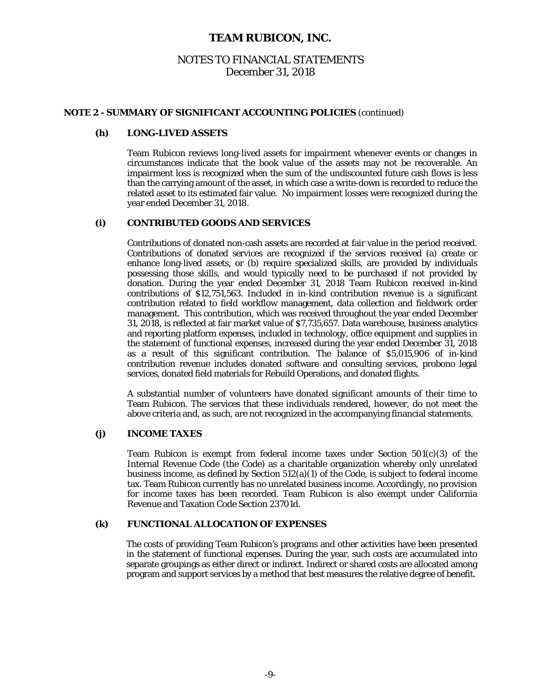### NOTES TO FINANCIAL STATEMENTS December 31, 2018

#### **NOTE 2 - SUMMARY OF SIGNIFICANT ACCOUNTING POLICIES** (continued)

#### **(h) LONG-LIVED ASSETS**

Team Rubicon reviews long-lived assets for impairment whenever events or changes in circumstances indicate that the book value of the assets may not be recoverable. An impairment loss is recognized when the sum of the undiscounted future cash flows is less than the carrying amount of the asset, in which case a write-down is recorded to reduce the related asset to its estimated fair value. No impairment losses were recognized during the year ended December 31, 2018.

### **(i) CONTRIBUTED GOODS AND SERVICES**

Contributions of donated non-cash assets are recorded at fair value in the period received. Contributions of donated services are recognized if the services received (a) create or enhance long-lived assets, or (b) require specialized skills, are provided by individuals possessing those skills, and would typically need to be purchased if not provided by donation. During the year ended December 31, 2018 Team Rubicon received in-kind contributions of \$12,751,563. Included in in-kind contribution revenue is a significant contribution related to field workflow management, data collection and fieldwork order management. This contribution, which was received throughout the year ended December 31, 2018, is reflected at fair market value of \$7,735,657. Data warehouse, business analytics and reporting platform expenses, included in technology, office equipment and supplies in the statement of functional expenses, increased during the year ended December 31, 2018 as a result of this significant contribution. The balance of \$5,015,906 of in-kind contribution revenue includes donated software and consulting services, probono legal services, donated field materials for Rebuild Operations, and donated flights.

 A substantial number of volunteers have donated significant amounts of their time to Team Rubicon. The services that these individuals rendered, however, do not meet the above criteria and, as such, are not recognized in the accompanying financial statements.

#### **(j) INCOME TAXES**

Team Rubicon is exempt from federal income taxes under Section 501(c)(3) of the Internal Revenue Code (the Code) as a charitable organization whereby only unrelated business income, as defined by Section 512(a)(1) of the Code, is subject to federal income tax. Team Rubicon currently has no unrelated business income. Accordingly, no provision for income taxes has been recorded. Team Rubicon is also exempt under California Revenue and Taxation Code Section 23701d.

### **(k) FUNCTIONAL ALLOCATION OF EXPENSES**

 The costs of providing Team Rubicon's programs and other activities have been presented in the statement of functional expenses. During the year, such costs are accumulated into separate groupings as either direct or indirect. Indirect or shared costs are allocated among program and support services by a method that best measures the relative degree of benefit.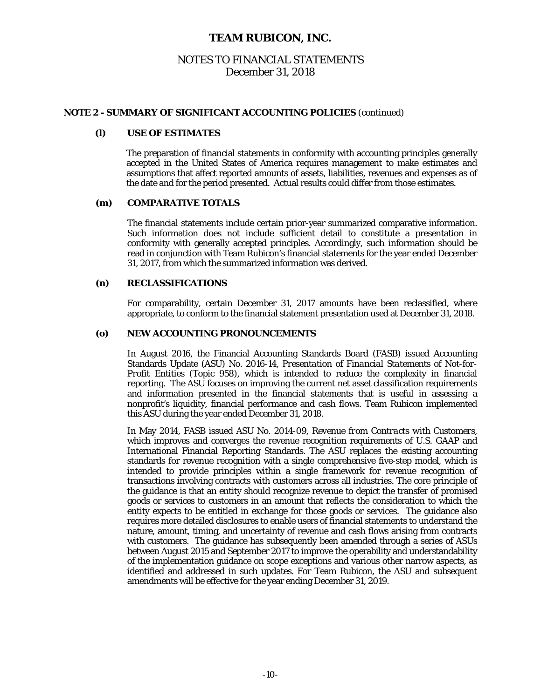### NOTES TO FINANCIAL STATEMENTS December 31, 2018

#### **NOTE 2 - SUMMARY OF SIGNIFICANT ACCOUNTING POLICIES** (continued)

#### **(l) USE OF ESTIMATES**

 The preparation of financial statements in conformity with accounting principles generally accepted in the United States of America requires management to make estimates and assumptions that affect reported amounts of assets, liabilities, revenues and expenses as of the date and for the period presented. Actual results could differ from those estimates.

### **(m) COMPARATIVE TOTALS**

The financial statements include certain prior-year summarized comparative information. Such information does not include sufficient detail to constitute a presentation in conformity with generally accepted principles. Accordingly, such information should be read in conjunction with Team Rubicon's financial statements for the year ended December 31, 2017, from which the summarized information was derived.

#### **(n) RECLASSIFICATIONS**

For comparability, certain December 31, 2017 amounts have been reclassified, where appropriate, to conform to the financial statement presentation used at December 31, 2018.

#### **(o) NEW ACCOUNTING PRONOUNCEMENTS**

In August 2016, the Financial Accounting Standards Board (FASB) issued Accounting Standards Update (ASU) No. 2016-14, *Presentation of Financial Statements of Not-for-Profit Entities (Topic 958)*, which is intended to reduce the complexity in financial reporting. The ASU focuses on improving the current net asset classification requirements and information presented in the financial statements that is useful in assessing a nonprofit's liquidity, financial performance and cash flows. Team Rubicon implemented this ASU during the year ended December 31, 2018.

In May 2014, FASB issued ASU No. 2014-09, *Revenue from Contracts with Customers*, which improves and converges the revenue recognition requirements of U.S. GAAP and International Financial Reporting Standards. The ASU replaces the existing accounting standards for revenue recognition with a single comprehensive five-step model, which is intended to provide principles within a single framework for revenue recognition of transactions involving contracts with customers across all industries. The core principle of the guidance is that an entity should recognize revenue to depict the transfer of promised goods or services to customers in an amount that reflects the consideration to which the entity expects to be entitled in exchange for those goods or services. The guidance also requires more detailed disclosures to enable users of financial statements to understand the nature, amount, timing, and uncertainty of revenue and cash flows arising from contracts with customers. The guidance has subsequently been amended through a series of ASUs between August 2015 and September 2017 to improve the operability and understandability of the implementation guidance on scope exceptions and various other narrow aspects, as identified and addressed in such updates. For Team Rubicon, the ASU and subsequent amendments will be effective for the year ending December 31, 2019.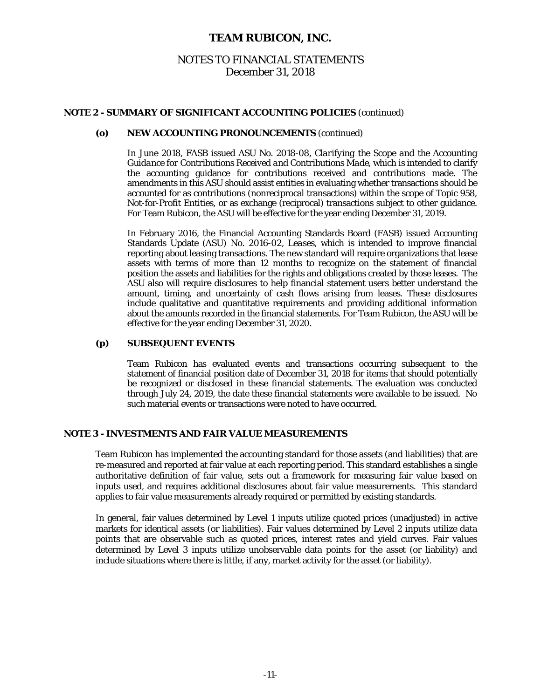### NOTES TO FINANCIAL STATEMENTS December 31, 2018

### **NOTE 2 - SUMMARY OF SIGNIFICANT ACCOUNTING POLICIES** (continued)

#### **(o) NEW ACCOUNTING PRONOUNCEMENTS** (continued)

In June 2018, FASB issued ASU No. 2018-08, *Clarifying the Scope and the Accounting Guidance for Contributions Received and Contributions Made*, which is intended to clarify the accounting guidance for contributions received and contributions made. The amendments in this ASU should assist entities in evaluating whether transactions should be accounted for as contributions (nonreciprocal transactions) within the scope of Topic 958, Not-for-Profit Entities, or as exchange (reciprocal) transactions subject to other guidance. For Team Rubicon, the ASU will be effective for the year ending December 31, 2019.

In February 2016, the Financial Accounting Standards Board (FASB) issued Accounting Standards Update (ASU) No. 2016-02, *Leases*, which is intended to improve financial reporting about leasing transactions. The new standard will require organizations that lease assets with terms of more than 12 months to recognize on the statement of financial position the assets and liabilities for the rights and obligations created by those leases. The ASU also will require disclosures to help financial statement users better understand the amount, timing, and uncertainty of cash flows arising from leases. These disclosures include qualitative and quantitative requirements and providing additional information about the amounts recorded in the financial statements. For Team Rubicon, the ASU will be effective for the year ending December 31, 2020.

#### **(p) SUBSEQUENT EVENTS**

Team Rubicon has evaluated events and transactions occurring subsequent to the statement of financial position date of December 31, 2018 for items that should potentially be recognized or disclosed in these financial statements. The evaluation was conducted through July 24, 2019, the date these financial statements were available to be issued. No such material events or transactions were noted to have occurred.

#### **NOTE 3 - INVESTMENTS AND FAIR VALUE MEASUREMENTS**

 Team Rubicon has implemented the accounting standard for those assets (and liabilities) that are re-measured and reported at fair value at each reporting period. This standard establishes a single authoritative definition of fair value, sets out a framework for measuring fair value based on inputs used, and requires additional disclosures about fair value measurements. This standard applies to fair value measurements already required or permitted by existing standards.

 In general, fair values determined by Level 1 inputs utilize quoted prices (unadjusted) in active markets for identical assets (or liabilities). Fair values determined by Level 2 inputs utilize data points that are observable such as quoted prices, interest rates and yield curves. Fair values determined by Level 3 inputs utilize unobservable data points for the asset (or liability) and include situations where there is little, if any, market activity for the asset (or liability).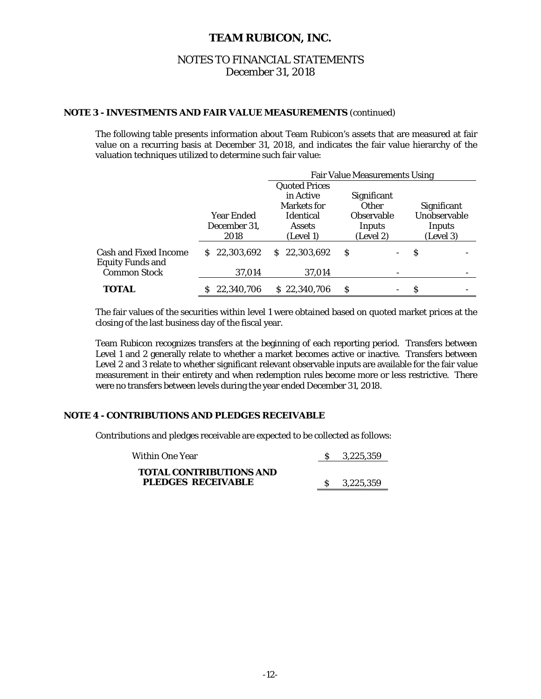### NOTES TO FINANCIAL STATEMENTS December 31, 2018

### **NOTE 3 - INVESTMENTS AND FAIR VALUE MEASUREMENTS** (continued)

 The following table presents information about Team Rubicon's assets that are measured at fair value on a recurring basis at December 31, 2018, and indicates the fair value hierarchy of the valuation techniques utilized to determine such fair value:

|                                                         |                                    | <b>Fair Value Measurements Using</b>           |                                          |   |                                     |  |  |  |
|---------------------------------------------------------|------------------------------------|------------------------------------------------|------------------------------------------|---|-------------------------------------|--|--|--|
|                                                         |                                    | <b>Quoted Prices</b><br>in Active              | Significant                              |   |                                     |  |  |  |
|                                                         |                                    | Markets for                                    | <b>Other</b>                             |   | Significant                         |  |  |  |
|                                                         | Year Ended<br>December 31,<br>2018 | <b>Identical</b><br><b>Assets</b><br>(Level 1) | <b>Observable</b><br>Inputs<br>(Level 2) |   | Unobservable<br>Inputs<br>(Level 3) |  |  |  |
| <b>Cash and Fixed Income</b><br><b>Equity Funds and</b> | \$22,303,692                       | 22,303,692<br>S.                               | S                                        | S |                                     |  |  |  |
| <b>Common Stock</b>                                     | 37,014                             | 37,014                                         |                                          |   |                                     |  |  |  |
| TOTAL                                                   | 22,340,706                         | \$22,340,706                                   | S                                        | S |                                     |  |  |  |

 The fair values of the securities within level 1 were obtained based on quoted market prices at the closing of the last business day of the fiscal year.

 Team Rubicon recognizes transfers at the beginning of each reporting period. Transfers between Level 1 and 2 generally relate to whether a market becomes active or inactive. Transfers between Level 2 and 3 relate to whether significant relevant observable inputs are available for the fair value measurement in their entirety and when redemption rules become more or less restrictive. There were no transfers between levels during the year ended December 31, 2018.

### **NOTE 4 - CONTRIBUTIONS AND PLEDGES RECEIVABLE**

Contributions and pledges receivable are expected to be collected as follows:

| Within One Year                                             | S 3.225.359 |
|-------------------------------------------------------------|-------------|
| <b>TOTAL CONTRIBUTIONS AND</b><br><b>PLEDGES RECEIVABLE</b> | S 3.225.359 |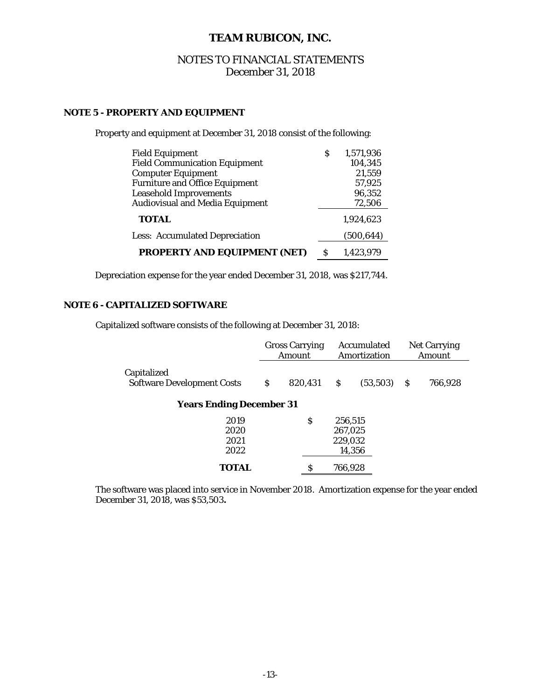### NOTES TO FINANCIAL STATEMENTS December 31, 2018

### **NOTE 5 - PROPERTY AND EQUIPMENT**

Property and equipment at December 31, 2018 consist of the following:

| <b>Field Equipment</b>                 |   | 1,571,936  |
|----------------------------------------|---|------------|
| <b>Field Communication Equipment</b>   |   | 104,345    |
| <b>Computer Equipment</b>              |   | 21,559     |
| <b>Furniture and Office Equipment</b>  |   | 57,925     |
| <b>Leasehold Improvements</b>          |   | 96,352     |
| <b>Audiovisual and Media Equipment</b> |   | 72,506     |
| <b>TOTAL</b>                           |   | 1.924.623  |
| <b>Less: Accumulated Depreciation</b>  |   | (500, 644) |
| <b>PROPERTY AND EQUIPMENT (NET)</b>    | S | 1.423.979  |

Depreciation expense for the year ended December 31, 2018, was \$217,744.

### **NOTE 6 - CAPITALIZED SOFTWARE**

Capitalized software consists of the following at December 31, 2018:

|                                                  | <b>Gross Carrying</b><br>Amount |         |         | Accumulated<br>Amortization | <b>Net Carrying</b><br>Amount |         |  |
|--------------------------------------------------|---------------------------------|---------|---------|-----------------------------|-------------------------------|---------|--|
| Capitalized<br><b>Software Development Costs</b> | \$                              | 820,431 | \$      | (53, 503)                   | S                             | 766,928 |  |
| <b>Years Ending December 31</b>                  |                                 |         |         |                             |                               |         |  |
| 2019                                             |                                 | \$      | 256,515 |                             |                               |         |  |
| 2020                                             |                                 |         | 267,025 |                             |                               |         |  |
| 2021                                             |                                 |         | 229,032 |                             |                               |         |  |
| 2022                                             |                                 |         |         | 14,356                      |                               |         |  |
| <b>TOTAL</b>                                     |                                 | S       | 766,928 |                             |                               |         |  |

The software was placed into service in November 2018. Amortization expense for the year ended December 31, 2018, was \$53,503**.**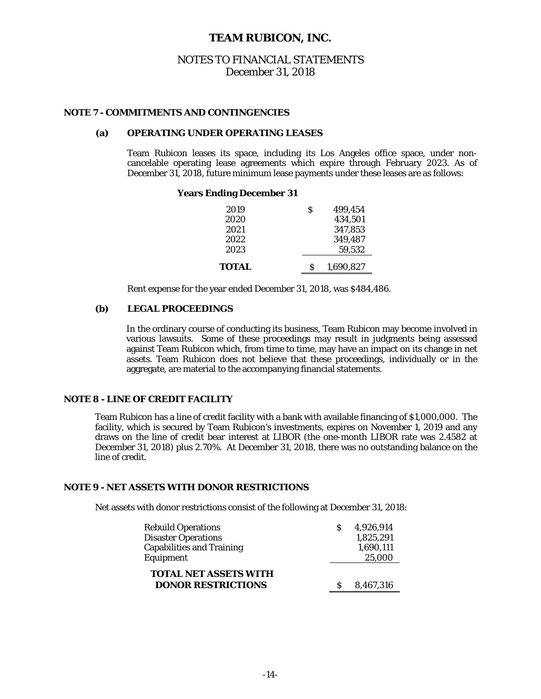### NOTES TO FINANCIAL STATEMENTS December 31, 2018

#### **NOTE 7 - COMMITMENTS AND CONTINGENCIES**

#### **(a) OPERATING UNDER OPERATING LEASES**

Team Rubicon leases its space, including its Los Angeles office space, under noncancelable operating lease agreements which expire through February 2023. As of December 31, 2018, future minimum lease payments under these leases are as follows:

#### **Years Ending December 31**

| 2019                | S<br>499.454   |
|---------------------|----------------|
| 2020                | 434,501        |
| 2021                | 347,853        |
| 2022                | 349,487        |
| 2023                | 59.532         |
| <i><b>TOTAL</b></i> | 1,690,827<br>S |

Rent expense for the year ended December 31, 2018, was \$484,486.

### **(b) LEGAL PROCEEDINGS**

 In the ordinary course of conducting its business, Team Rubicon may become involved in various lawsuits. Some of these proceedings may result in judgments being assessed against Team Rubicon which, from time to time, may have an impact on its change in net assets. Team Rubicon does not believe that these proceedings, individually or in the aggregate, are material to the accompanying financial statements.

### **NOTE 8 - LINE OF CREDIT FACILITY**

 Team Rubicon has a line of credit facility with a bank with available financing of \$1,000,000. The facility, which is secured by Team Rubicon's investments, expires on November 1, 2019 and any draws on the line of credit bear interest at LIBOR (the one-month LIBOR rate was 2.4582 at December 31, 2018) plus 2.70%. At December 31, 2018, there was no outstanding balance on the line of credit.

#### **NOTE 9 - NET ASSETS WITH DONOR RESTRICTIONS**

Net assets with donor restrictions consist of the following at December 31, 2018:

| <b>Rebuild Operations</b>                                 | 4.926.914 |
|-----------------------------------------------------------|-----------|
| <b>Disaster Operations</b>                                | 1,825,291 |
| <b>Capabilities and Training</b>                          | 1,690,111 |
| Equipment                                                 | 25,000    |
| <b>TOTAL NET ASSETS WITH</b><br><b>DONOR RESTRICTIONS</b> | 8.467.316 |
|                                                           |           |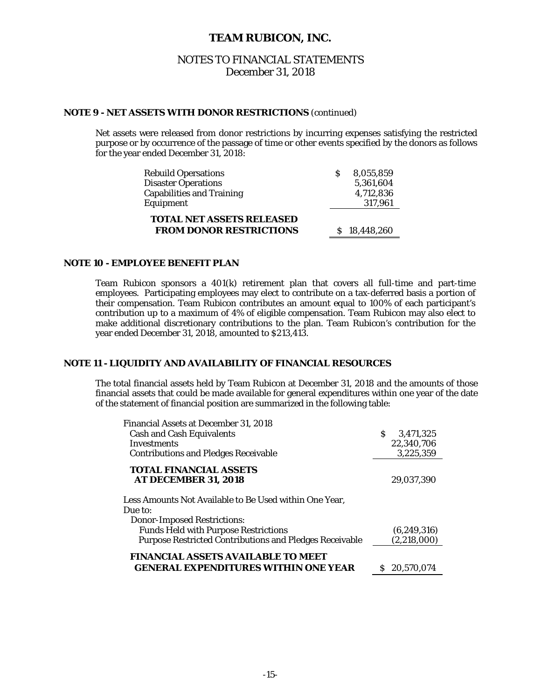### NOTES TO FINANCIAL STATEMENTS December 31, 2018

### **NOTE 9 - NET ASSETS WITH DONOR RESTRICTIONS** (continued)

Net assets were released from donor restrictions by incurring expenses satisfying the restricted purpose or by occurrence of the passage of time or other events specified by the donors as follows for the year ended December 31, 2018:

| <b>Rebuild Opersations</b>                                         | 8.055.859    |
|--------------------------------------------------------------------|--------------|
| <b>Disaster Operations</b>                                         | 5,361,604    |
| <b>Capabilities and Training</b>                                   | 4,712,836    |
| Equipment                                                          | 317,961      |
| <b>TOTAL NET ASSETS RELEASED</b><br><b>FROM DONOR RESTRICTIONS</b> |              |
|                                                                    | \$18,448,260 |

#### **NOTE 10 - EMPLOYEE BENEFIT PLAN**

Team Rubicon sponsors a 401(k) retirement plan that covers all full-time and part-time employees. Participating employees may elect to contribute on a tax-deferred basis a portion of their compensation. Team Rubicon contributes an amount equal to 100% of each participant's contribution up to a maximum of 4% of eligible compensation. Team Rubicon may also elect to make additional discretionary contributions to the plan. Team Rubicon's contribution for the year ended December 31, 2018, amounted to \$213,413.

### **NOTE 11 - LIQUIDITY AND AVAILABILITY OF FINANCIAL RESOURCES**

The total financial assets held by Team Rubicon at December 31, 2018 and the amounts of those financial assets that could be made available for general expenditures within one year of the date of the statement of financial position are summarized in the following table:

| Financial Assets at December 31, 2018                             |                |
|-------------------------------------------------------------------|----------------|
| <b>Cash and Cash Equivalents</b>                                  | 3.471.325<br>S |
| <b>Investments</b>                                                | 22,340,706     |
| <b>Contributions and Pledges Receivable</b>                       | 3,225,359      |
| <b>TOTAL FINANCIAL ASSETS</b>                                     |                |
| <b>AT DECEMBER 31. 2018</b>                                       | 29.037.390     |
| Less Amounts Not Available to Be Used within One Year,<br>Due to: |                |
| <b>Donor-Imposed Restrictions:</b>                                |                |
| <b>Funds Held with Purpose Restrictions</b>                       | (6, 249, 316)  |
| <b>Purpose Restricted Contributions and Pledges Receivable</b>    | (2,218,000)    |
| <b>FINANCIAL ASSETS AVAILABLE TO MEET</b>                         |                |
| <b>GENERAL EXPENDITURES WITHIN ONE YEAR</b>                       | 20.570.074     |